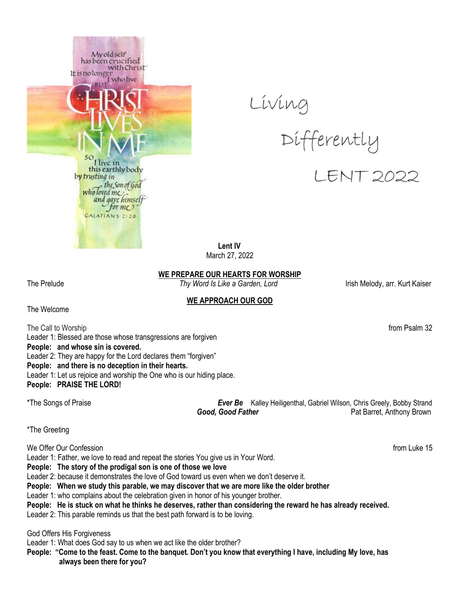





 **Lent IV** March 27, 2022

## **WE PREPARE OUR HEARTS FOR WORSHIP**

The Prelude *Thy Word Is Like a Garden, Lord* Irish Melody, arr. Kurt Kaiser

# **WE APPROACH OUR GOD**

The Welcome

The Call to Worship from Psalm 32 Leader 1: Blessed are those whose transgressions are forgiven **People: and whose sin is covered.** Leader 2: They are happy for the Lord declares them "forgiven" **People: and there is no deception in their hearts.** Leader 1: Let us rejoice and worship the One who is our hiding place. **People: PRAISE THE LORD!**

\*The Songs of Praise *Ever Be* Kalley Heiligenthal, Gabriel Wilson, Chris Greely, Bobby Strand **Good, Good Father Pat Barret, Anthony Brown** 

\*The Greeting

We Offer Our Confession **from Luke 15** 

Leader 1: Father, we love to read and repeat the stories You give us in Your Word.

**People: The story of the prodigal son is one of those we love** 

Leader 2: because it demonstrates the love of God toward us even when we don't deserve it.

**People: When we study this parable, we may discover that we are more like the older brother**

Leader 1: who complains about the celebration given in honor of his younger brother.

**People: He is stuck on what he thinks he deserves, rather than considering the reward he has already received.**

Leader 2: This parable reminds us that the best path forward is to be loving.

God Offers His Forgiveness

Leader 1: What does God say to us when we act like the older brother?

**People: "Come to the feast. Come to the banquet. Don't you know that everything I have, including My love, has always been there for you?**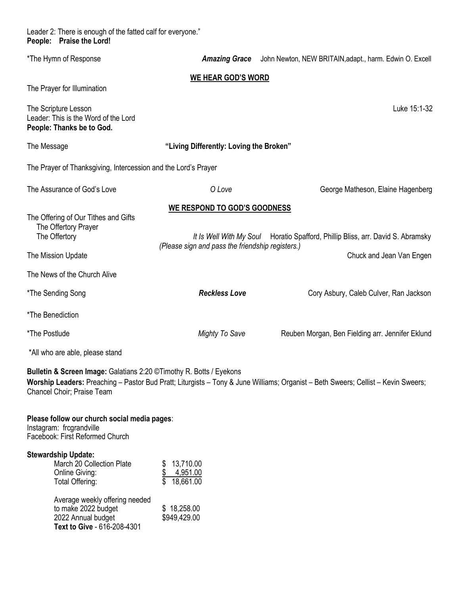Leader 2: There is enough of the fatted calf for everyone." **People: Praise the Lord!**

| *The Hymn of Response                                                                                       |                                                  | Amazing Grace John Newton, NEW BRITAIN, adapt., harm. Edwin O. Excell                                                             |  |  |  |
|-------------------------------------------------------------------------------------------------------------|--------------------------------------------------|-----------------------------------------------------------------------------------------------------------------------------------|--|--|--|
| <b>WE HEAR GOD'S WORD</b>                                                                                   |                                                  |                                                                                                                                   |  |  |  |
| The Prayer for Illumination                                                                                 |                                                  |                                                                                                                                   |  |  |  |
| The Scripture Lesson<br>Leader: This is the Word of the Lord<br>People: Thanks be to God.                   |                                                  | Luke 15:1-32                                                                                                                      |  |  |  |
| The Message                                                                                                 | "Living Differently: Loving the Broken"          |                                                                                                                                   |  |  |  |
| The Prayer of Thanksgiving, Intercession and the Lord's Prayer                                              |                                                  |                                                                                                                                   |  |  |  |
| The Assurance of God's Love                                                                                 | O Love                                           | George Matheson, Elaine Hagenberg                                                                                                 |  |  |  |
| <b>WE RESPOND TO GOD'S GOODNESS</b>                                                                         |                                                  |                                                                                                                                   |  |  |  |
| The Offering of Our Tithes and Gifts<br>The Offertory Prayer<br>The Offertory                               | (Please sign and pass the friendship registers.) | It Is Well With My Soul Horatio Spafford, Phillip Bliss, arr. David S. Abramsky                                                   |  |  |  |
| The Mission Update                                                                                          |                                                  | Chuck and Jean Van Engen                                                                                                          |  |  |  |
| The News of the Church Alive                                                                                |                                                  |                                                                                                                                   |  |  |  |
| *The Sending Song                                                                                           | <b>Reckless Love</b>                             | Cory Asbury, Caleb Culver, Ran Jackson                                                                                            |  |  |  |
| *The Benediction                                                                                            |                                                  |                                                                                                                                   |  |  |  |
| *The Postlude                                                                                               | <b>Mighty To Save</b>                            | Reuben Morgan, Ben Fielding arr. Jennifer Eklund                                                                                  |  |  |  |
| *All who are able, please stand                                                                             |                                                  |                                                                                                                                   |  |  |  |
| Bulletin & Screen Image: Galatians 2:20 © Timothy R. Botts / Eyekons<br>Chancel Choir; Praise Team          |                                                  | Worship Leaders: Preaching - Pastor Bud Pratt; Liturgists - Tony & June Williams; Organist - Beth Sweers; Cellist - Kevin Sweers; |  |  |  |
| Please follow our church social media pages:<br>Instagram: frcgrandville<br>Facebook: First Reformed Church |                                                  |                                                                                                                                   |  |  |  |
| <b>Stewardship Update:</b><br>March 20 Collection Plate                                                     | \$13,710.00                                      |                                                                                                                                   |  |  |  |

| Online Giving:                 | 4,951.00     |
|--------------------------------|--------------|
| Total Offering:                | 18,661.00    |
|                                |              |
| Average weekly offering needed |              |
| to make 2022 budget            | \$18,258.00  |
| 2022 Annual budget             | \$949,429.00 |
| Text to Give - 616-208-4301    |              |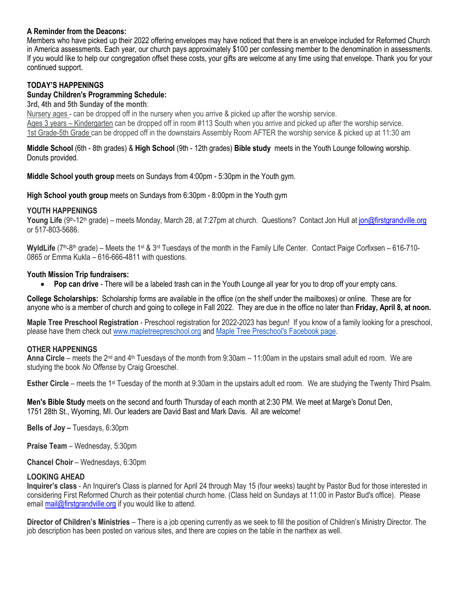## **A Reminder from the Deacons:**

Members who have picked up their 2022 offering envelopes may have noticed that there is an envelope included for Reformed Church in America assessments. Each year, our church pays approximately \$100 per confessing member to the denomination in assessments. If you would like to help our congregation offset these costs, your gifts are welcome at any time using that envelope. Thank you for your continued support.

# **TODAY'S HAPPENINGS**

## **Sunday Children's Programming Schedule:**

**3rd, 4th and 5th Sunday of the month**:

Nursery ages - can be dropped off in the nursery when you arrive & picked up after the worship service.

Ages 3 years – Kindergarten can be dropped off in room #113 South when you arrive and picked up after the worship service. 1st Grade-5th Grade can be dropped off in the downstairs Assembly Room AFTER the worship service & picked up at 11:30 am

#### **Middle School** (6th - 8th grades) & **High School** (9th - 12th grades) **Bible study** meets in the Youth Lounge following worship. Donuts provided.

**Middle School youth group** meets on Sundays from 4:00pm - 5:30pm in the Youth gym.

**High School youth group** meets on Sundays from 6:30pm - 8:00pm in the Youth gym

#### **YOUTH HAPPENINGS**

Young Life (9<sup>th</sup>-12<sup>th</sup> grade) – meets Monday, March 28, at 7:27pm at church. Questions? Contact Jon Hull at [jon@firstgrandville.org](mailto:jon@firstgrandville.org) or 517-803-5686.

WyldLife (7<sup>th</sup>-8<sup>th</sup> grade) – Meets the 1<sup>st</sup> & 3<sup>rd</sup> Tuesdays of the month in the Family Life Center. Contact Paige Corfixsen – 616-710-0865 or Emma Kukla – 616-666-4811 with questions.

#### **Youth Mission Trip fundraisers:**

**Pop can drive** - There will be a labeled trash can in the Youth Lounge all year for you to drop off your empty cans.

**College Scholarships:** Scholarship forms are available in the office (on the shelf under the mailboxes) or online. These are for anyone who is a member of church and going to college in Fall 2022. They are due in the office no later than **Friday, April 8, at noon.**

**Maple Tree Preschool Registration** - Preschool registration for 2022-2023 has begun! If you know of a family looking for a preschool, please have them check out [www.mapletreepreschool.org](http://www.mapletreepreschool.org/) and [Maple Tree Preschool's](https://www.facebook.com/Maple-Tree-Preschool-107534002642706) Facebook page.

#### **OTHER HAPPENINGS**

**Anna Circle** – meets the 2nd and 4th Tuesdays of the month from 9:30am – 11:00am in the upstairs small adult ed room. We are studying the book *No Offense* by Craig Groeschel.

**Esther Circle** – meets the 1<sup>st</sup> Tuesday of the month at 9:30am in the upstairs adult ed room. We are studying the Twenty Third Psalm.

**Men's Bible Study** meets on the second and fourth Thursday of each month at 2:30 PM. We meet at Marge's Donut Den, 1751 28th St., Wyoming, MI. Our leaders are David Bast and Mark Davis. All are welcome!

**Bells of Joy –** Tuesdays, 6:30pm

**Praise Team** – Wednesday, 5:30pm

**Chancel Choir** – Wednesdays, 6:30pm

#### **LOOKING AHEAD**

**Inquirer's class** - An Inquirer's Class is planned for April 24 through May 15 (four weeks) taught by Pastor Bud for those interested in considering First Reformed Church as their potential church home. (Class held on Sundays at 11:00 in Pastor Bud's office). Please email [mail@firstgrandville.org](mailto:mail@firstgrandville.org) if you would like to attend.

**Director of Children's Ministries** – There is a job opening currently as we seek to fill the position of Children's Ministry Director. The job description has been posted on various sites, and there are copies on the table in the narthex as well.